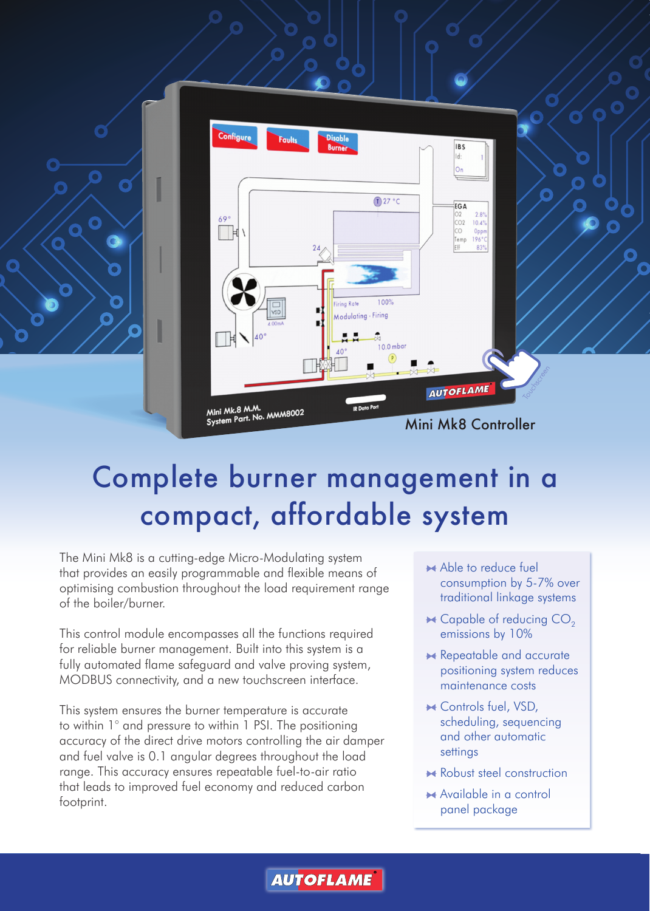

## Complete burner management in a compact, affordable system

The Mini Mk8 is a cutting-edge Micro-Modulating system that provides an easily programmable and flexible means of optimising combustion throughout the load requirement range of the boiler/burner.

This control module encompasses all the functions required for reliable burner management. Built into this system is a fully automated flame safeguard and valve proving system, MODBUS connectivity, and a new touchscreen interface.

This system ensures the burner temperature is accurate to within 1° and pressure to within 1 PSI. The positioning accuracy of the direct drive motors controlling the air damper and fuel valve is 0.1 angular degrees throughout the load range. This accuracy ensures repeatable fuel-to-air ratio that leads to improved fuel economy and reduced carbon footprint.

- Able to reduce fuel consumption by 5-7% over traditional linkage systems
- $\blacktriangleright$  Capable of reducing CO<sub>2</sub> emissions by 10%
- **Repeatable and accurate** positioning system reduces maintenance costs
- ★ Controls fuel, VSD, scheduling, sequencing and other automatic settings
- **A** Robust steel construction
- ★ Available in a control panel package

**AUTOFLAME**